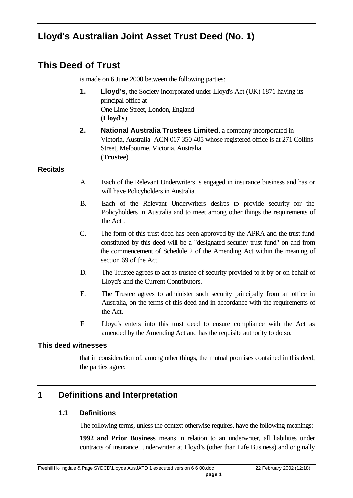# **Lloyd's Australian Joint Asset Trust Deed (No. 1)**

# **This Deed of Trust**

is made on 6 June 2000 between the following parties:

- **1. Lloyd's**, the Society incorporated under Lloyd's Act (UK) 1871 having its principal office at One Lime Street, London, England (**Lloyd's**)
- **2. National Australia Trustees Limited**, a company incorporated in Victoria, Australia ACN 007 350 405 whose registered office is at 271 Collins Street, Melbourne, Victoria, Australia (**Trustee**)

### **Recitals**

- A. Each of the Relevant Underwriters is engaged in insurance business and has or will have Policyholders in Australia.
- B. Each of the Relevant Underwriters desires to provide security for the Policyholders in Australia and to meet among other things the requirements of the Act .
- C. The form of this trust deed has been approved by the APRA and the trust fund constituted by this deed will be a "designated security trust fund" on and from the commencement of Schedule 2 of the Amending Act within the meaning of section 69 of the Act.
- D. The Trustee agrees to act as trustee of security provided to it by or on behalf of Lloyd's and the Current Contributors.
- E. The Trustee agrees to administer such security principally from an office in Australia, on the terms of this deed and in accordance with the requirements of the Act.
- F Lloyd's enters into this trust deed to ensure compliance with the Act as amended by the Amending Act and has the requisite authority to do so.

## **This deed witnesses**

that in consideration of, among other things, the mutual promises contained in this deed, the parties agree:

## **1 Definitions and Interpretation**

## **1.1 Definitions**

The following terms, unless the context otherwise requires, have the following meanings:

**1992 and Prior Business** means in relation to an underwriter, all liabilities under contracts of insurance underwritten at Lloyd's (other than Life Business) and originally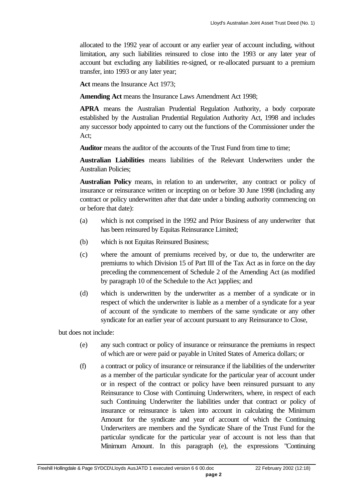allocated to the 1992 year of account or any earlier year of account including, without limitation, any such liabilities reinsured to close into the 1993 or any later year of account but excluding any liabilities re-signed, or re-allocated pursuant to a premium transfer, into 1993 or any later year;

Act means the Insurance Act 1973;

**Amending Act** means the Insurance Laws Amendment Act 1998;

**APRA** means the Australian Prudential Regulation Authority, a body corporate established by the Australian Prudential Regulation Authority Act, 1998 and includes any successor body appointed to carry out the functions of the Commissioner under the Act;

**Auditor** means the auditor of the accounts of the Trust Fund from time to time;

**Australian Liabilities** means liabilities of the Relevant Underwriters under the Australian Policies;

**Australian Policy** means, in relation to an underwriter, any contract or policy of insurance or reinsurance written or incepting on or before 30 June 1998 (including any contract or policy underwritten after that date under a binding authority commencing on or before that date):

- (a) which is not comprised in the 1992 and Prior Business of any underwriter that has been reinsured by Equitas Reinsurance Limited;
- (b) which is not Equitas Reinsured Business;
- (c) where the amount of premiums received by, or due to, the underwriter are premiums to which Division 15 of Part III of the Tax Act as in force on the day preceding the commencement of Schedule 2 of the Amending Act (as modified by paragraph 10 of the Schedule to the Act )applies; and
- (d) which is underwritten by the underwriter as a member of a syndicate or in respect of which the underwriter is liable as a member of a syndicate for a year of account of the syndicate to members of the same syndicate or any other syndicate for an earlier year of account pursuant to any Reinsurance to Close,

but does not include:

- (e) any such contract or policy of insurance or reinsurance the premiums in respect of which are or were paid or payable in United States of America dollars; or
- (f) a contract or policy of insurance or reinsurance if the liabilities of the underwriter as a member of the particular syndicate for the particular year of account under or in respect of the contract or policy have been reinsured pursuant to any Reinsurance to Close with Continuing Underwriters, where, in respect of each such Continuing Underwriter the liabilities under that contract or policy of insurance or reinsurance is taken into account in calculating the Minimum Amount for the syndicate and year of account of which the Continuing Underwriters are members and the Syndicate Share of the Trust Fund for the particular syndicate for the particular year of account is not less than that Minimum Amount. In this paragraph (e), the expressions "Continuing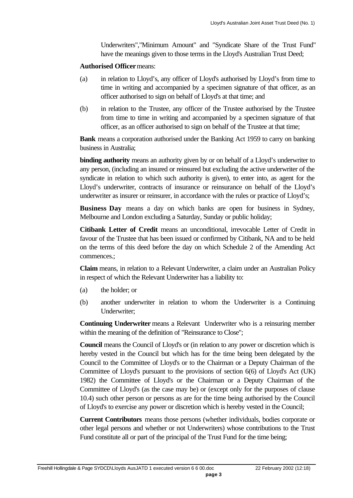Underwriters","Minimum Amount" and "Syndicate Share of the Trust Fund" have the meanings given to those terms in the Lloyd's Australian Trust Deed;

#### **Authorised Officer** means:

- (a) in relation to Lloyd's, any officer of Lloyd's authorised by Lloyd's from time to time in writing and accompanied by a specimen signature of that officer, as an officer authorised to sign on behalf of Lloyd's at that time; and
- (b) in relation to the Trustee, any officer of the Trustee authorised by the Trustee from time to time in writing and accompanied by a specimen signature of that officer, as an officer authorised to sign on behalf of the Trustee at that time;

**Bank** means a corporation authorised under the Banking Act 1959 to carry on banking business in Australia;

**binding authority** means an authority given by or on behalf of a Lloyd's underwriter to any person, (including an insured or reinsured but excluding the active underwriter of the syndicate in relation to which such authority is given), to enter into, as agent for the Lloyd's underwriter, contracts of insurance or reinsurance on behalf of the Lloyd's underwriter as insurer or reinsurer, in accordance with the rules or practice of Lloyd's;

**Business Day** means a day on which banks are open for business in Sydney, Melbourne and London excluding a Saturday, Sunday or public holiday;

**Citibank Letter of Credit** means an unconditional, irrevocable Letter of Credit in favour of the Trustee that has been issued or confirmed by Citibank, NA and to be held on the terms of this deed before the day on which Schedule 2 of the Amending Act commences.;

**Claim** means, in relation to a Relevant Underwriter, a claim under an Australian Policy in respect of which the Relevant Underwriter has a liability to:

- (a) the holder; or
- (b) another underwriter in relation to whom the Underwriter is a Continuing Underwriter;

**Continuing Underwriter** means a Relevant Underwriter who is a reinsuring member within the meaning of the definition of "Reinsurance to Close";

**Council** means the Council of Lloyd's or (in relation to any power or discretion which is hereby vested in the Council but which has for the time being been delegated by the Council to the Committee of Lloyd's or to the Chairman or a Deputy Chairman of the Committee of Lloyd's pursuant to the provisions of section 6(6) of Lloyd's Act (UK) 1982) the Committee of Lloyd's or the Chairman or a Deputy Chairman of the Committee of Lloyd's (as the case may be) or (except only for the purposes of clause 10.4) such other person or persons as are for the time being authorised by the Council of Lloyd's to exercise any power or discretion which is hereby vested in the Council;

**Current Contributors** means those persons (whether individuals, bodies corporate or other legal persons and whether or not Underwriters) whose contributions to the Trust Fund constitute all or part of the principal of the Trust Fund for the time being;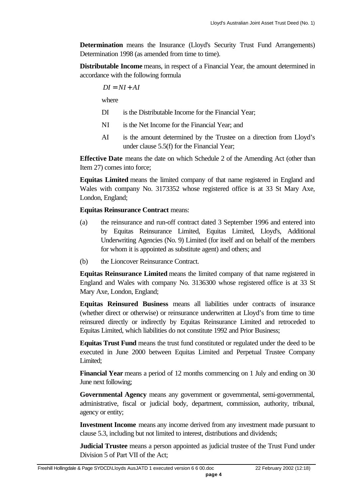**Determination** means the Insurance (Lloyd's Security Trust Fund Arrangements) Determination 1998 (as amended from time to time).

**Distributable Income** means, in respect of a Financial Year, the amount determined in accordance with the following formula

$$
DI = NI + AI
$$

where

- DI is the Distributable Income for the Financial Year;
- NI is the Net Income for the Financial Year; and
- AI is the amount determined by the Trustee on a direction from Lloyd's under clause 5.5(f) for the Financial Year;

**Effective Date** means the date on which Schedule 2 of the Amending Act (other than Item 27) comes into force;

**Equitas Limited** means the limited company of that name registered in England and Wales with company No. 3173352 whose registered office is at 33 St Mary Axe, London, England;

#### **Equitas Reinsurance Contract** means:

- (a) the reinsurance and run-off contract dated 3 September 1996 and entered into by Equitas Reinsurance Limited, Equitas Limited, Lloyd's, Additional Underwriting Agencies (No. 9) Limited (for itself and on behalf of the members for whom it is appointed as substitute agent) and others; and
- (b) the Lioncover Reinsurance Contract.

**Equitas Reinsurance Limited** means the limited company of that name registered in England and Wales with company No. 3136300 whose registered office is at 33 St Mary Axe, London, England;

**Equitas Reinsured Business** means all liabilities under contracts of insurance (whether direct or otherwise) or reinsurance underwritten at Lloyd's from time to time reinsured directly or indirectly by Equitas Reinsurance Limited and retroceded to Equitas Limited, which liabilities do not constitute 1992 and Prior Business;

**Equitas Trust Fund** means the trust fund constituted or regulated under the deed to be executed in June 2000 between Equitas Limited and Perpetual Trustee Company Limited:

**Financial Year** means a period of 12 months commencing on 1 July and ending on 30 June next following;

**Governmental Agency** means any government or governmental, semi-governmental, administrative, fiscal or judicial body, department, commission, authority, tribunal, agency or entity;

**Investment Income** means any income derived from any investment made pursuant to clause 5.3, including but not limited to interest, distributions and dividends;

**Judicial Trustee** means a person appointed as judicial trustee of the Trust Fund under Division 5 of Part VII of the Act;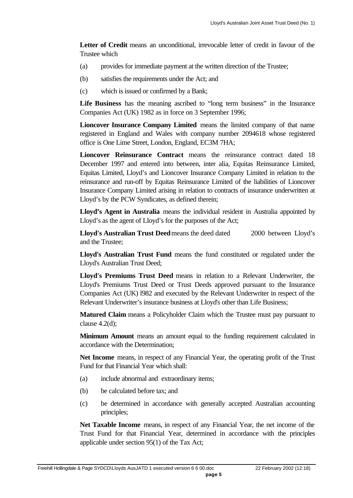Letter of Credit means an unconditional, irrevocable letter of credit in favour of the Trustee which

- (a) provides for immediate payment at the written direction of the Trustee;
- (b) satisfies the requirements under the Act; and
- (c) which is issued or confirmed by a Bank;

Life Business has the meaning ascribed to "long term business" in the Insurance Companies Act (UK) 1982 as in force on 3 September 1996;

**Lioncover Insurance Company Limited** means the limited company of that name registered in England and Wales with company number 2094618 whose registered office is One Lime Street, London, England, EC3M 7HA;

**Lioncover Reinsurance Contract** means the reinsurance contract dated 18 December 1997 and entered into between, inter alia, Equitas Reinsurance Limited, Equitas Limited, Lloyd's and Lioncover Insurance Company Limited in relation to the reinsurance and run-off by Equitas Reinsurance Limited of the liabilities of Lioncover Insurance Company Limited arising in relation to contracts of insurance underwritten at Lloyd's by the PCW Syndicates, as defined therein;

**Lloyd's Agent in Australia** means the individual resident in Australia appointed by Lloyd's as the agent of Lloyd's for the purposes of the Act;

**Lloyd's Australian Trust Deed** means the deed dated 2000 between Lloyd's and the Trustee;

**Lloyd's Australian Trust Fund** means the fund constituted or regulated under the Lloyd's Australian Trust Deed;

**Lloyd's Premiums Trust Deed** means in relation to a Relevant Underwriter, the Lloyd's Premiums Trust Deed or Trust Deeds approved pursuant to the Insurance Companies Act (UK) l982 and executed by the Relevant Underwriter in respect of the Relevant Underwriter's insurance business at Lloyd's other than Life Business;

**Matured Claim** means a Policyholder Claim which the Trustee must pay pursuant to clause  $4.2(d)$ ;

**Minimum Amount** means an amount equal to the funding requirement calculated in accordance with the Determination;

**Net Income** means, in respect of any Financial Year, the operating profit of the Trust Fund for that Financial Year which shall:

- (a) include abnormal and extraordinary items;
- (b) be calculated before tax; and
- (c) be determined in accordance with generally accepted Australian accounting principles;

**Net Taxable Income** means, in respect of any Financial Year, the net income of the Trust Fund for that Financial Year, determined in accordance with the principles applicable under section 95(1) of the Tax Act;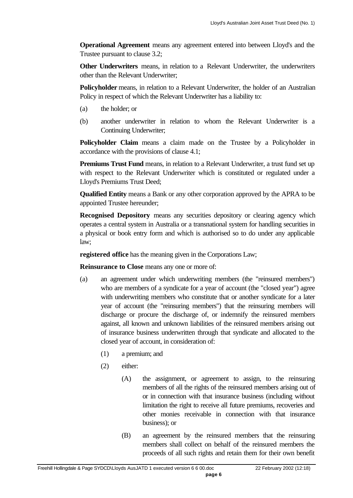**Operational Agreement** means any agreement entered into between Lloyd's and the Trustee pursuant to clause 3.2;

**Other Underwriters** means, in relation to a Relevant Underwriter, the underwriters other than the Relevant Underwriter;

**Policyholder** means, in relation to a Relevant Underwriter, the holder of an Australian Policy in respect of which the Relevant Underwriter has a liability to:

- (a) the holder; or
- (b) another underwriter in relation to whom the Relevant Underwriter is a Continuing Underwriter;

**Policyholder Claim** means a claim made on the Trustee by a Policyholder in accordance with the provisions of clause 4.1;

**Premiums Trust Fund** means, in relation to a Relevant Underwriter, a trust fund set up with respect to the Relevant Underwriter which is constituted or regulated under a Lloyd's Premiums Trust Deed;

**Qualified Entity** means a Bank or any other corporation approved by the APRA to be appointed Trustee hereunder;

**Recognised Depository** means any securities depository or clearing agency which operates a central system in Australia or a transnational system for handling securities in a physical or book entry form and which is authorised so to do under any applicable law;

**registered office** has the meaning given in the Corporations Law;

**Reinsurance to Close** means any one or more of:

- (a) an agreement under which underwriting members (the "reinsured members") who are members of a syndicate for a year of account (the "closed year") agree with underwriting members who constitute that or another syndicate for a later year of account (the "reinsuring members") that the reinsuring members will discharge or procure the discharge of, or indemnify the reinsured members against, all known and unknown liabilities of the reinsured members arising out of insurance business underwritten through that syndicate and allocated to the closed year of account, in consideration of:
	- (1) a premium; and
	- (2) either:
		- (A) the assignment, or agreement to assign, to the reinsuring members of all the rights of the reinsured members arising out of or in connection with that insurance business (including without limitation the right to receive all future premiums, recoveries and other monies receivable in connection with that insurance business); or
		- (B) an agreement by the reinsured members that the reinsuring members shall collect on behalf of the reinsured members the proceeds of all such rights and retain them for their own benefit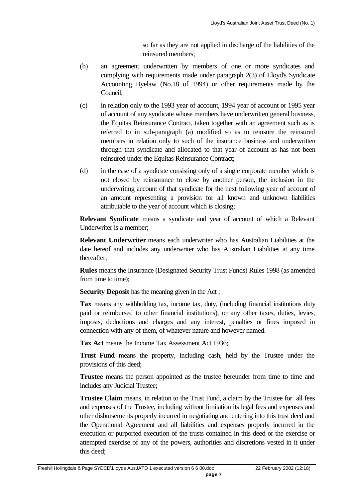so far as they are not applied in discharge of the liabilities of the reinsured members;

- (b) an agreement underwritten by members of one or more syndicates and complying with requirements made under paragraph 2(3) of Lloyd's Syndicate Accounting Byelaw (No.18 of 1994) or other requirements made by the Council;
- (c) in relation only to the 1993 year of account, 1994 year of account or 1995 year of account of any syndicate whose members have underwritten general business, the Equitas Reinsurance Contract, taken together with an agreement such as is referred to in sub-paragraph (a) modified so as to reinsure the reinsured members in relation only to such of the insurance business and underwritten through that syndicate and allocated to that year of account as has not been reinsured under the Equitas Reinsurance Contract;
- (d) in the case of a syndicate consisting only of a single corporate member which is not closed by reinsurance to close by another person, the inclusion in the underwriting account of that syndicate for the next following year of account of an amount representing a provision for all known and unknown liabilities attributable to the year of account which is closing;

**Relevant Syndicate** means a syndicate and year of account of which a Relevant Underwriter is a member;

**Relevant Underwriter** means each underwriter who has Australian Liabilities at the date hereof and includes any underwriter who has Australian Liabilities at any time thereafter;

**Rules** means the Insurance (Designated Security Trust Funds) Rules 1998 (as amended from time to time);

**Security Deposit** has the meaning given in the Act ;

**Tax** means any withholding tax, income tax, duty, (including financial institutions duty paid or reimbursed to other financial institutions), or any other taxes, duties, levies, imposts, deductions and charges and any interest, penalties or fines imposed in connection with any of them, of whatever nature and however named.

**Tax Act** means the Income Tax Assessment Act 1936;

**Trust Fund** means the property, including cash, held by the Trustee under the provisions of this deed;

**Trustee** means the person appointed as the trustee hereunder from time to time and includes any Judicial Trustee;

**Trustee Claim** means, in relation to the Trust Fund, a claim by the Trustee for all fees and expenses of the Trustee, including without limitation its legal fees and expenses and other disbursements properly incurred in negotiating and entering into this trust deed and the Operational Agreement and all liabilities and expenses properly incurred in the execution or purported execution of the trusts contained in this deed or the exercise or attempted exercise of any of the powers, authorities and discretions vested in it under this deed;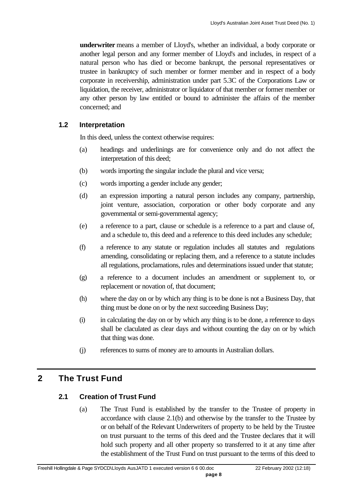**underwriter** means a member of Lloyd's, whether an individual, a body corporate or another legal person and any former member of Lloyd's and includes, in respect of a natural person who has died or become bankrupt, the personal representatives or trustee in bankruptcy of such member or former member and in respect of a body corporate in receivership, administration under part 5.3C of the Corporations Law or liquidation, the receiver, administrator or liquidator of that member or former member or any other person by law entitled or bound to administer the affairs of the member concerned; and

#### **1.2 Interpretation**

In this deed, unless the context otherwise requires:

- (a) headings and underlinings are for convenience only and do not affect the interpretation of this deed;
- (b) words importing the singular include the plural and vice versa;
- (c) words importing a gender include any gender;
- (d) an expression importing a natural person includes any company, partnership, joint venture, association, corporation or other body corporate and any governmental or semi-governmental agency;
- (e) a reference to a part, clause or schedule is a reference to a part and clause of, and a schedule to, this deed and a reference to this deed includes any schedule;
- (f) a reference to any statute or regulation includes all statutes and regulations amending, consolidating or replacing them, and a reference to a statute includes all regulations, proclamations, rules and determinations issued under that statute;
- (g) a reference to a document includes an amendment or supplement to, or replacement or novation of, that document;
- (h) where the day on or by which any thing is to be done is not a Business Day, that thing must be done on or by the next succeeding Business Day;
- (i) in calculating the day on or by which any thing is to be done, a reference to days shall be claculated as clear days and without counting the day on or by which that thing was done.
- (j) references to sums of money are to amounts in Australian dollars.

## **2 The Trust Fund**

#### **2.1 Creation of Trust Fund**

(a) The Trust Fund is established by the transfer to the Trustee of property in accordance with clause 2.1(b) and otherwise by the transfer to the Trustee by or on behalf of the Relevant Underwriters of property to be held by the Trustee on trust pursuant to the terms of this deed and the Trustee declares that it will hold such property and all other property so transferred to it at any time after the establishment of the Trust Fund on trust pursuant to the terms of this deed to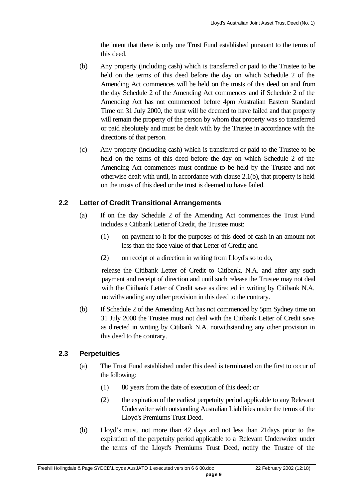the intent that there is only one Trust Fund established pursuant to the terms of this deed.

- (b) Any property (including cash) which is transferred or paid to the Trustee to be held on the terms of this deed before the day on which Schedule 2 of the Amending Act commences will be held on the trusts of this deed on and from the day Schedule 2 of the Amending Act commences and if Schedule 2 of the Amending Act has not commenced before 4pm Australian Eastern Standard Time on 31 July 2000, the trust will be deemed to have failed and that property will remain the property of the person by whom that property was so transferred or paid absolutely and must be dealt with by the Trustee in accordance with the directions of that person.
- (c) Any property (including cash) which is transferred or paid to the Trustee to be held on the terms of this deed before the day on which Schedule 2 of the Amending Act commences must continue to be held by the Trustee and not otherwise dealt with until, in accordance with clause 2.1(b), that property is held on the trusts of this deed or the trust is deemed to have failed.

#### **2.2 Letter of Credit Transitional Arrangements**

- (a) If on the day Schedule 2 of the Amending Act commences the Trust Fund includes a Citibank Letter of Credit, the Trustee must:
	- (1) on payment to it for the purposes of this deed of cash in an amount not less than the face value of that Letter of Credit; and
	- (2) on receipt of a direction in writing from Lloyd's so to do,

release the Citibank Letter of Credit to Citibank, N.A. and after any such payment and receipt of direction and until such release the Trustee may not deal with the Citibank Letter of Credit save as directed in writing by Citibank N.A. notwithstanding any other provision in this deed to the contrary.

(b) If Schedule 2 of the Amending Act has not commenced by 5pm Sydney time on 31 July 2000 the Trustee must not deal with the Citibank Letter of Credit save as directed in writing by Citibank N.A. notwithstanding any other provision in this deed to the contrary.

#### **2.3 Perpetuities**

- (a) The Trust Fund established under this deed is terminated on the first to occur of the following:
	- (1) 80 years from the date of execution of this deed; or
	- (2) the expiration of the earliest perpetuity period applicable to any Relevant Underwriter with outstanding Australian Liabilities under the terms of the Lloyd's Premiums Trust Deed.
- (b) Lloyd's must, not more than 42 days and not less than 21days prior to the expiration of the perpetuity period applicable to a Relevant Underwriter under the terms of the Lloyd's Premiums Trust Deed, notify the Trustee of the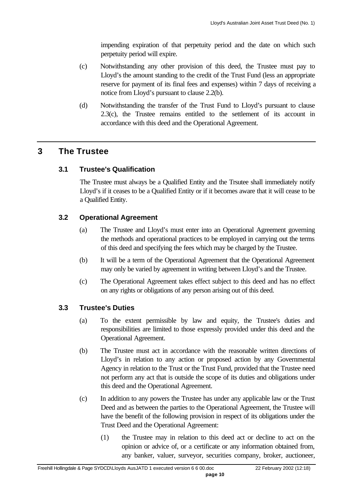impending expiration of that perpetuity period and the date on which such perpetuity period will expire.

- (c) Notwithstanding any other provision of this deed, the Trustee must pay to Lloyd's the amount standing to the credit of the Trust Fund (less an appropriate reserve for payment of its final fees and expenses) within 7 days of receiving a notice from Lloyd's pursuant to clause 2.2(b).
- (d) Notwithstanding the transfer of the Trust Fund to Lloyd's pursuant to clause 2.3(c), the Trustee remains entitled to the settlement of its account in accordance with this deed and the Operational Agreement.

## **3 The Trustee**

#### **3.1 Trustee's Qualification**

The Trustee must always be a Qualified Entity and the Trsutee shall immediately notify Lloyd's if it ceases to be a Qualified Entity or if it becomes aware that it will cease to be a Qualified Entity.

#### **3.2 Operational Agreement**

- (a) The Trustee and Lloyd's must enter into an Operational Agreement governing the methods and operational practices to be employed in carrying out the terms of this deed and specifying the fees which may be charged by the Trustee.
- (b) It will be a term of the Operational Agreement that the Operational Agreement may only be varied by agreement in writing between Lloyd's and the Trustee.
- (c) The Operational Agreement takes effect subject to this deed and has no effect on any rights or obligations of any person arising out of this deed.

#### **3.3 Trustee's Duties**

- (a) To the extent permissible by law and equity, the Trustee's duties and responsibilities are limited to those expressly provided under this deed and the Operational Agreement.
- (b) The Trustee must act in accordance with the reasonable written directions of Lloyd's in relation to any action or proposed action by any Governmental Agency in relation to the Trust or the Trust Fund, provided that the Trustee need not perform any act that is outside the scope of its duties and obligations under this deed and the Operational Agreement.
- (c) In addition to any powers the Trustee has under any applicable law or the Trust Deed and as between the parties to the Operational Agreement, the Trustee will have the benefit of the following provision in respect of its obligations under the Trust Deed and the Operational Agreement:
	- (1) the Trustee may in relation to this deed act or decline to act on the opinion or advice of, or a certificate or any information obtained from, any banker, valuer, surveyor, securities company, broker, auctioneer,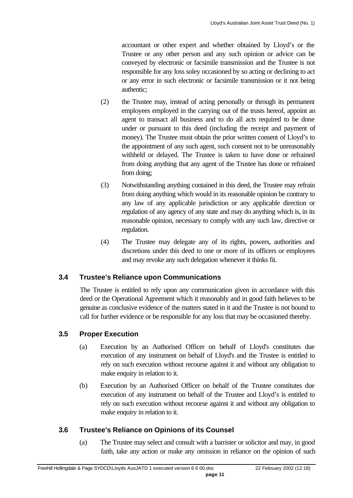accountant or other expert and whether obtained by Lloyd's or the Trustee or any other person and any such opinion or advice can be conveyed by electronic or facsimile transmission and the Trustee is not responsible for any loss soley occasioned by so acting or declining to act or any error in such electronic or facsimile transmission or it not being authentic;

- (2) the Trustee may, instead of acting personally or through its permanent employees employed in the carrying out of the trusts hereof, appoint an agent to transact all business and to do all acts required to be done under or pursuant to this deed (including the receipt and payment of money). The Trustee must obtain the prior written consent of Lloyd's to the appointment of any such agent, such consent not to be unreasonably withheld or delayed. The Trustee is taken to have done or refrained from doing anything that any agent of the Trustee has done or refrained from doing;
- (3) Notwithstanding anything contained in this deed, the Trustee may refrain from doing anything which would in its reasonable opinion be contrary to any law of any applicable jurisdiction or any applicable direction or regulation of any agency of any state and may do anything which is, in its reasonable opinion, necessary to comply with any such law, directive or regulation.
- (4) The Trustee may delegate any of its rights, powers, authorities and discretions under this deed to one or more of its officers or employees and may revoke any such delegation whenever it thinks fit.

## **3.4 Trustee's Reliance upon Communications**

The Trustee is entitled to rely upon any communication given in accordance with this deed or the Operational Agreement which it reasonably and in good faith believes to be genuine as conclusive evidence of the matters stated in it and the Trustee is not bound to call for further evidence or be responsible for any loss that may be occasioned thereby.

#### **3.5 Proper Execution**

- (a) Execution by an Authorised Officer on behalf of Lloyd's constitutes due execution of any instrument on behalf of Lloyd's and the Trustee is entitled to rely on such execution without recourse against it and without any obligation to make enquiry in relation to it.
- (b) Execution by an Authorised Officer on behalf of the Trustee constitutes due execution of any instrument on behalf of the Trustee and Lloyd's is entitled to rely on such execution without recourse against it and without any obligation to make enquiry in relation to it.

#### **3.6 Trustee's Reliance on Opinions of its Counsel**

(a) The Trustee may select and consult with a barrister or solicitor and may, in good faith, take any action or make any omission in reliance on the opinion of such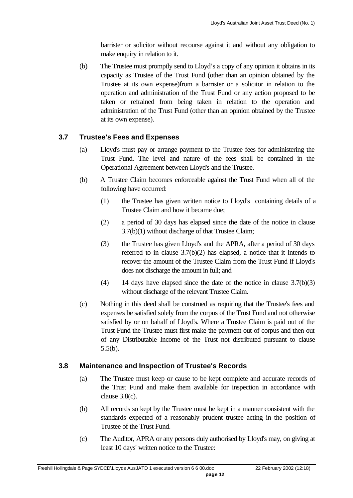barrister or solicitor without recourse against it and without any obligation to make enquiry in relation to it.

(b) The Trustee must promptly send to Lloyd's a copy of any opinion it obtains in its capacity as Trustee of the Trust Fund (other than an opinion obtained by the Trustee at its own expense)from a barrister or a solicitor in relation to the operation and administration of the Trust Fund or any action proposed to be taken or refrained from being taken in relation to the operation and administration of the Trust Fund (other than an opinion obtained by the Trustee at its own expense).

#### **3.7 Trustee's Fees and Expenses**

- (a) Lloyd's must pay or arrange payment to the Trustee fees for administering the Trust Fund. The level and nature of the fees shall be contained in the Operational Agreement between Lloyd's and the Trustee.
- (b) A Trustee Claim becomes enforceable against the Trust Fund when all of the following have occurred:
	- (1) the Trustee has given written notice to Lloyd's containing details of a Trustee Claim and how it became due;
	- (2) a period of 30 days has elapsed since the date of the notice in clause 3.7(b)(1) without discharge of that Trustee Claim;
	- (3) the Trustee has given Lloyd's and the APRA, after a period of 30 days referred to in clause 3.7(b)(2) has elapsed, a notice that it intends to recover the amount of the Trustee Claim from the Trust Fund if Lloyd's does not discharge the amount in full; and
	- (4) 14 days have elapsed since the date of the notice in clause 3.7(b)(3) without discharge of the relevant Trustee Claim.
- (c) Nothing in this deed shall be construed as requiring that the Trustee's fees and expenses be satisfied solely from the corpus of the Trust Fund and not otherwise satisfied by or on bahalf of Lloyd's. Where a Trustee Claim is paid out of the Trust Fund the Trustee must first make the payment out of corpus and then out of any Distributable Income of the Trust not distributed pursuant to clause 5.5(b).

#### **3.8 Maintenance and Inspection of Trustee's Records**

- (a) The Trustee must keep or cause to be kept complete and accurate records of the Trust Fund and make them available for inspection in accordance with clause 3.8(c).
- (b) All records so kept by the Trustee must be kept in a manner consistent with the standards expected of a reasonably prudent trustee acting in the position of Trustee of the Trust Fund.
- (c) The Auditor, APRA or any persons duly authorised by Lloyd's may, on giving at least 10 days' written notice to the Trustee: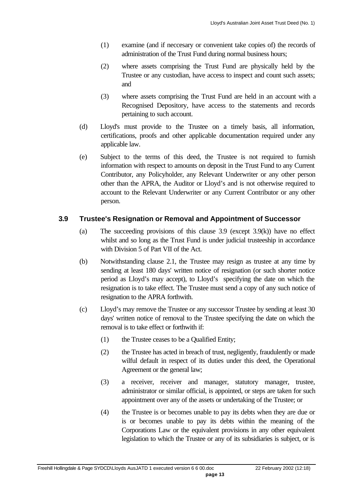- (1) examine (and if neccesary or convenient take copies of) the records of administration of the Trust Fund during normal business hours;
- (2) where assets comprising the Trust Fund are physically held by the Trustee or any custodian, have access to inspect and count such assets; and
- (3) where assets comprising the Trust Fund are held in an account with a Recognised Depository, have access to the statements and records pertaining to such account.
- (d) Lloyd's must provide to the Trustee on a timely basis, all information, certifications, proofs and other applicable documentation required under any applicable law.
- (e) Subject to the terms of this deed, the Trustee is not required to furnish information with respect to amounts on deposit in the Trust Fund to any Current Contributor, any Policyholder, any Relevant Underwriter or any other person other than the APRA, the Auditor or Lloyd's and is not otherwise required to account to the Relevant Underwriter or any Current Contributor or any other person.

### **3.9 Trustee's Resignation or Removal and Appointment of Successor**

- (a) The succeeding provisions of this clause 3.9 (except 3.9(k)) have no effect whilst and so long as the Trust Fund is under judicial trusteeship in accordance with Division 5 of Part VII of the Act.
- (b) Notwithstanding clause 2.1, the Trustee may resign as trustee at any time by sending at least 180 days' written notice of resignation (or such shorter notice period as Lloyd's may accept), to Lloyd's specifying the date on which the resignation is to take effect. The Trustee must send a copy of any such notice of resignation to the APRA forthwith.
- (c) Lloyd's may remove the Trustee or any successor Trustee by sending at least 30 days' written notice of removal to the Trustee specifying the date on which the removal is to take effect or forthwith if:
	- (1) the Trustee ceases to be a Qualified Entity;
	- (2) the Trustee has acted in breach of trust, negligently, fraudulently or made wilful default in respect of its duties under this deed, the Operational Agreement or the general law;
	- (3) a receiver, receiver and manager, statutory manager, trustee, administrator or similar official, is appointed, or steps are taken for such appointment over any of the assets or undertaking of the Trustee; or
	- (4) the Trustee is or becomes unable to pay its debts when they are due or is or becomes unable to pay its debts within the meaning of the Corporations Law or the equivalent provisions in any other equivalent legislation to which the Trustee or any of its subsidiaries is subject, or is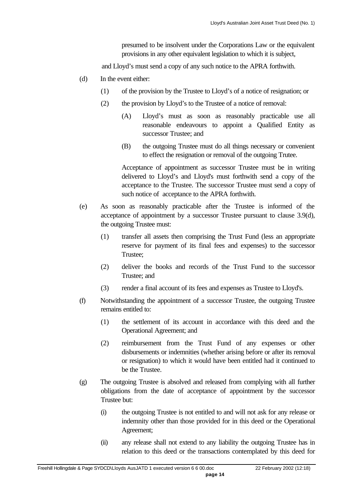presumed to be insolvent under the Corporations Law or the equivalent provisions in any other equivalent legislation to which it is subject,

and Lloyd's must send a copy of any such notice to the APRA forthwith.

- (d) In the event either:
	- (1) of the provision by the Trustee to Lloyd's of a notice of resignation; or
	- (2) the provision by Lloyd's to the Trustee of a notice of removal:
		- (A) Lloyd's must as soon as reasonably practicable use all reasonable endeavours to appoint a Qualified Entity as successor Trustee; and
		- (B) the outgoing Trustee must do all things necessary or convenient to effect the resignation or removal of the outgoing Trutee.

Acceptance of appointment as successor Trustee must be in writing delivered to Lloyd's and Lloyd's must forthwith send a copy of the acceptance to the Trustee. The successor Trustee must send a copy of such notice of acceptance to the APRA forthwith.

- (e) As soon as reasonably practicable after the Trustee is informed of the acceptance of appointment by a successor Trustee pursuant to clause 3.9(d), the outgoing Trustee must:
	- (1) transfer all assets then comprising the Trust Fund (less an appropriate reserve for payment of its final fees and expenses) to the successor Trustee;
	- (2) deliver the books and records of the Trust Fund to the successor Trustee; and
	- (3) render a final account of its fees and expenses as Trustee to Lloyd's.
- (f) Notwithstanding the appointment of a successor Trustee, the outgoing Trustee remains entitled to:
	- (1) the settlement of its account in accordance with this deed and the Operational Agreement; and
	- (2) reimbursement from the Trust Fund of any expenses or other disbursements or indemnities (whether arising before or after its removal or resignation) to which it would have been entitled had it continued to be the Trustee.
- (g) The outgoing Trustee is absolved and released from complying with all further obligations from the date of acceptance of appointment by the successor Trustee but:
	- (i) the outgoing Trustee is not entitled to and will not ask for any release or indemnity other than those provided for in this deed or the Operational Agreement;
	- (ii) any release shall not extend to any liability the outgoing Trustee has in relation to this deed or the transactions contemplated by this deed for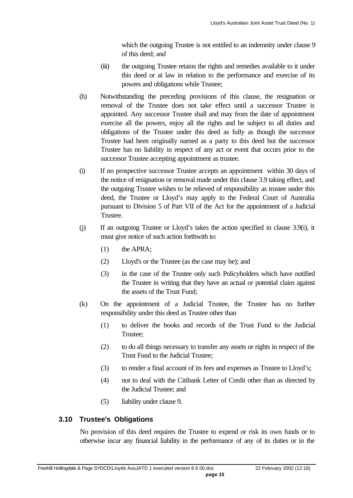which the outgoing Trustee is not entitled to an indemnity under clause 9 of this deed; and

- (iii) the outgoing Trustee retains the rights and remedies available to it under this deed or at law in relation to the performance and exercise of its powers and obligations while Trustee;
- (h) Notwithstanding the preceding provisions of this clause, the resignation or removal of the Trustee does not take effect until a successor Trustee is appointed. Any successor Trustee shall and may from the date of appointment exercise all the powers, enjoy all the rights and be subject to all duties and obligations of the Trustee under this deed as fully as though the successor Trustee had been originally named as a party to this deed but the successor Trustee has no liability in respect of any act or event that occurs prior to the successor Trustee accepting appointment as trustee.
- (i) If no prospective successor Trustee accepts an appointment within 30 days of the notice of resignation or removal made under this clause 3.9 taking effect, and the outgoing Trustee wishes to be relieved of responsibility as trustee under this deed, the Trustee or Lloyd's may apply to the Federal Court of Australia pursuant to Division 5 of Part VII of the Act for the appointment of a Judicial Trustee.
- (j) If an outgoing Trustee or Lloyd's takes the action specified in clause 3.9(i), it must give notice of such action forthwith to:
	- (1) the APRA;
	- (2) Lloyd's or the Trustee (as the case may be); and
	- (3) in the case of the Trustee only such Policyholders which have notified the Trustee in writing that they have an actual or potential claim against the assets of the Trust Fund;
- (k) On the appointment of a Judicial Trustee, the Trustee has no further responsibility under this deed as Trustee other than
	- (1) to deliver the books and records of the Trust Fund to the Judicial Trustee;
	- (2) to do all things necessary to transfer any assets or rights in respect of the Trust Fund to the Judicial Trustee;
	- (3) to render a final account of its fees and expenses as Trustee to Lloyd's;
	- (4) not to deal with the Citibank Letter of Credit other than as directed by the Judicial Trustee; and
	- (5) liability under clause 9.

#### **3.10 Trustee's Obligations**

No provision of this deed requires the Trustee to expend or risk its own funds or to otherwise incur any financial liability in the performance of any of its duties or in the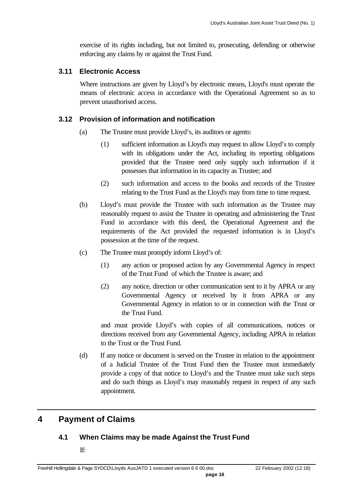exercise of its rights including, but not limited to, prosecuting, defending or otherwise enforcing any claims by or against the Trust Fund.

#### **3.11 Electronic Access**

Where instructions are given by Lloyd's by electronic means, Lloyd's must operate the means of electronic access in accordance with the Operational Agreement so as to prevent unauthorised access.

#### **3.12 Provision of information and notification**

- (a) The Trustee must provide Lloyd's, its auditors or agents:
	- (1) sufficient information as Lloyd's may request to allow Lloyd's to comply with its obligations under the Act, including its reporting obligations provided that the Trustee need only supply such information if it possesses that information in its capacity as Trustee; and
	- (2) such information and access to the books and records of the Trustee relating to the Trust Fund as the Lloyd's may from time to time request.
- (b) Lloyd's must provide the Trustee with such information as the Trustee may reasonably request to assist the Trustee in operating and administering the Trust Fund in accordance with this deed, the Operational Agreement and the requirements of the Act provided the requested information is in Lloyd's possession at the time of the request.
- (c) The Trustee must promptly inform Lloyd's of:
	- (1) any action or proposed action by any Governmental Agency in respect of the Trust Fund of which the Trustee is aware; and
	- (2) any notice, direction or other communication sent to it by APRA or any Governmental Agency or received by it from APRA or any Governmental Agency in relation to or in connection with the Trust or the Trust Fund.

and must provide Lloyd's with copies of all communications, notices or directions received from any Governmental Agency, including APRA in relation to the Trust or the Trust Fund.

(d) If any notice or document is served on the Trustee in relation to the appointment of a Judicial Trustee of the Trust Fund then the Trustee must immediately provide a copy of that notice to Lloyd's and the Trustee must take such steps and do such things as Lloyd's may reasonably request in respect of any such appointment.

## **4 Payment of Claims**

#### **4.1 When Claims may be made Against the Trust Fund**

If: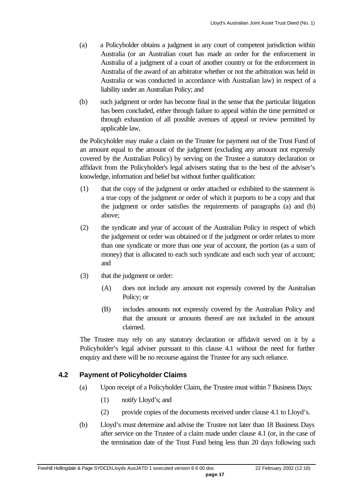- (a) a Policyholder obtains a judgment in any court of competent jurisdiction within Australia (or an Australian court has made an order for the enforcement in Australia of a judgment of a court of another country or for the enforcement in Australia of the award of an arbitrator whether or not the arbitration was held in Australia or was conducted in accordance with Australian law) in respect of a liability under an Australian Policy; and
- (b) such judgment or order has become final in the sense that the particular litigation has been concluded, either through failure to appeal within the time permitted or through exhaustion of all possible avenues of appeal or review permitted by applicable law,

the Policyholder may make a claim on the Trustee for payment out of the Trust Fund of an amount equal to the amount of the judgment (excluding any amount not expressly covered by the Australian Policy) by serving on the Trustee a statutory declaration or affidavit from the Policyholder's legal advisers stating that to the best of the adviser's knowledge, information and belief but without further qualification:

- (1) that the copy of the judgment or order attached or exhibited to the statement is a true copy of the judgment or order of which it purports to be a copy and that the judgment or order satisfies the requirements of paragraphs (a) and (b) above;
- (2) the syndicate and year of account of the Australian Policy in respect of which the judgement or order was obtained or if the judgment or order relates to more than one syndicate or more than one year of account, the portion (as a sum of money) that is allocated to each such syndicate and each such year of account; and
- (3) that the judgment or order:
	- (A) does not include any amount not expressly covered by the Australian Policy; or
	- (B) includes amounts not expressly covered by the Australian Policy and that the amount or amounts thereof are not included in the amount claimed.

The Trustee may rely on any statutory declaration or affidavit served on it by a Policyholder's legal adviser pursuant to this clause 4.1 without the need for further enquiry and there will be no recourse against the Trustee for any such reliance.

#### **4.2 Payment of Policyholder Claims**

- (a) Upon receipt of a Policyholder Claim, the Trustee must within 7 Business Days:
	- (1) notify Lloyd's; and
	- (2) provide copies of the documents received under clause 4.1 to Lloyd's.
- (b) Lloyd's must determine and advise the Trustee not later than 18 Business Days after service on the Trustee of a claim made under clause 4.1 (or, in the case of the termination date of the Trust Fund being less than 20 days following such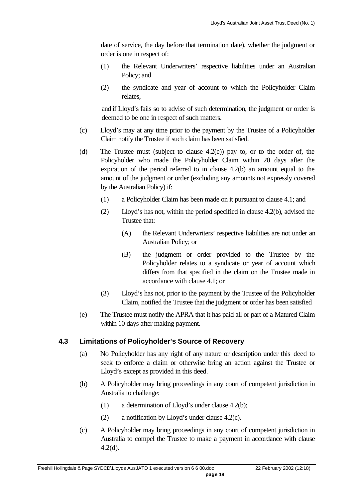date of service, the day before that termination date), whether the judgment or order is one in respect of:

- (1) the Relevant Underwriters' respective liabilities under an Australian Policy; and
- (2) the syndicate and year of account to which the Policyholder Claim relates,

and if Lloyd's fails so to advise of such determination, the judgment or order is deemed to be one in respect of such matters.

- (c) Lloyd's may at any time prior to the payment by the Trustee of a Policyholder Claim notify the Trustee if such claim has been satisfied.
- (d) The Trustee must (subject to clause 4.2(e)) pay to, or to the order of, the Policyholder who made the Policyholder Claim within 20 days after the expiration of the period referred to in clause 4.2(b) an amount equal to the amount of the judgment or order (excluding any amounts not expressly covered by the Australian Policy) if:
	- (1) a Policyholder Claim has been made on it pursuant to clause 4.1; and
	- (2) Lloyd's has not, within the period specified in clause 4.2(b), advised the Trustee that:
		- (A) the Relevant Underwriters' respective liabilities are not under an Australian Policy; or
		- (B) the judgment or order provided to the Trustee by the Policyholder relates to a syndicate or year of account which differs from that specified in the claim on the Trustee made in accordance with clause 4.1; or
	- (3) Lloyd's has not, prior to the payment by the Trustee of the Policyholder Claim, notified the Trustee that the judgment or order has been satisfied
- (e) The Trustee must notify the APRA that it has paid all or part of a Matured Claim within 10 days after making payment.

#### **4.3 Limitations of Policyholder's Source of Recovery**

- (a) No Policyholder has any right of any nature or description under this deed to seek to enforce a claim or otherwise bring an action against the Trustee or Lloyd's except as provided in this deed.
- (b) A Policyholder may bring proceedings in any court of competent jurisdiction in Australia to challenge:
	- (1) a determination of Lloyd's under clause 4.2(b);
	- (2) a notification by Lloyd's under clause 4.2(c).
- (c) A Policyholder may bring proceedings in any court of competent jurisdiction in Australia to compel the Trustee to make a payment in accordance with clause 4.2(d).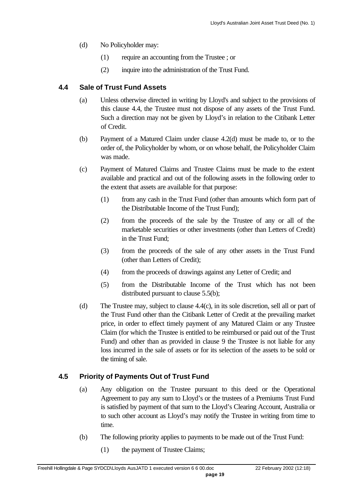- (d) No Policyholder may:
	- (1) require an accounting from the Trustee ; or
	- (2) inquire into the administration of the Trust Fund.

#### **4.4 Sale of Trust Fund Assets**

- (a) Unless otherwise directed in writing by Lloyd's and subject to the provisions of this clause 4.4, the Trustee must not dispose of any assets of the Trust Fund. Such a direction may not be given by Lloyd's in relation to the Citibank Letter of Credit.
- (b) Payment of a Matured Claim under clause 4.2(d) must be made to, or to the order of, the Policyholder by whom, or on whose behalf, the Policyholder Claim was made.
- (c) Payment of Matured Claims and Trustee Claims must be made to the extent available and practical and out of the following assets in the following order to the extent that assets are available for that purpose:
	- (1) from any cash in the Trust Fund (other than amounts which form part of the Distributable Income of the Trust Fund);
	- (2) from the proceeds of the sale by the Trustee of any or all of the marketable securities or other investments (other than Letters of Credit) in the Trust Fund;
	- (3) from the proceeds of the sale of any other assets in the Trust Fund (other than Letters of Credit);
	- (4) from the proceeds of drawings against any Letter of Credit; and
	- (5) from the Distributable Income of the Trust which has not been distributed pursuant to clause 5.5(b);
- (d) The Trustee may, subject to clause 4.4(c), in its sole discretion, sell all or part of the Trust Fund other than the Citibank Letter of Credit at the prevailing market price, in order to effect timely payment of any Matured Claim or any Trustee Claim (for which the Trustee is entitled to be reimbursed or paid out of the Trust Fund) and other than as provided in clause 9 the Trustee is not liable for any loss incurred in the sale of assets or for its selection of the assets to be sold or the timing of sale.

#### **4.5 Priority of Payments Out of Trust Fund**

- (a) Any obligation on the Trustee pursuant to this deed or the Operational Agreement to pay any sum to Lloyd's or the trustees of a Premiums Trust Fund is satisfied by payment of that sum to the Lloyd's Clearing Account, Australia or to such other account as Lloyd's may notify the Trustee in writing from time to time.
- (b) The following priority applies to payments to be made out of the Trust Fund:
	- (1) the payment of Trustee Claims;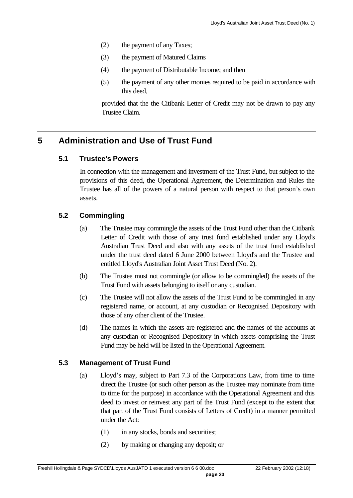- (2) the payment of any Taxes;
- (3) the payment of Matured Claims
- (4) the payment of Distributable Income; and then
- (5) the payment of any other monies required to be paid in accordance with this deed,

provided that the the Citibank Letter of Credit may not be drawn to pay any Trustee Claim.

## **5 Administration and Use of Trust Fund**

#### **5.1 Trustee's Powers**

In connection with the management and investment of the Trust Fund, but subject to the provisions of this deed, the Operational Agreement, the Determination and Rules the Trustee has all of the powers of a natural person with respect to that person's own assets.

### **5.2 Commingling**

- (a) The Trustee may commingle the assets of the Trust Fund other than the Citibank Letter of Credit with those of any trust fund established under any Lloyd's Australian Trust Deed and also with any assets of the trust fund established under the trust deed dated 6 June 2000 between Lloyd's and the Trustee and entitled Lloyd's Australian Joint Asset Trust Deed (No. 2).
- (b) The Trustee must not commingle (or allow to be commingled) the assets of the Trust Fund with assets belonging to itself or any custodian.
- (c) The Trustee will not allow the assets of the Trust Fund to be commingled in any registered name, or account, at any custodian or Recognised Depository with those of any other client of the Trustee.
- (d) The names in which the assets are registered and the names of the accounts at any custodian or Recognised Depository in which assets comprising the Trust Fund may be held will be listed in the Operational Agreement.

#### **5.3 Management of Trust Fund**

- (a) Lloyd's may, subject to Part 7.3 of the Corporations Law, from time to time direct the Trustee (or such other person as the Trustee may nominate from time to time for the purpose) in accordance with the Operational Agreement and this deed to invest or reinvest any part of the Trust Fund (except to the extent that that part of the Trust Fund consists of Letters of Credit) in a manner permitted under the Act:
	- (1) in any stocks, bonds and securities;
	- (2) by making or changing any deposit; or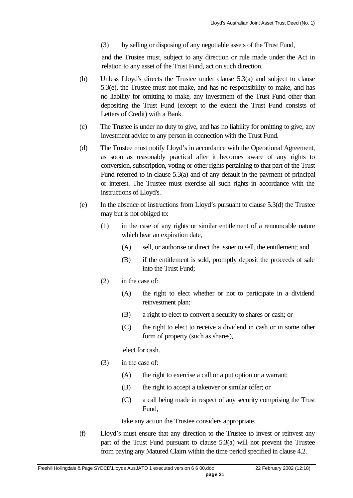(3) by selling or disposing of any negotiable assets of the Trust Fund,

and the Trustee must, subject to any direction or rule made under the Act in relation to any asset of the Trust Fund, act on such direction.

- (b) Unless Lloyd's directs the Trustee under clause 5.3(a) and subject to clause 5.3(e), the Trustee must not make, and has no responsibility to make, and has no liability for omitting to make, any investment of the Trust Fund other than depositing the Trust Fund (except to the extent the Trust Fund consists of Letters of Credit) with a Bank.
- (c) The Trustee is under no duty to give, and has no liability for omitting to give, any investment advice to any person in connection with the Trust Fund.
- (d) The Trustee must notify Lloyd's in accordance with the Operational Agreement, as soon as reasonably practical after it becomes aware of any rights to conversion, subscription, voting or other rights pertaining to that part of the Trust Fund referred to in clause 5.3(a) and of any default in the payment of principal or interest. The Trustee must exercise all such rights in accordance with the instructions of Lloyd's.
- (e) In the absence of instructions from Lloyd's pursuant to clause 5.3(d) the Trustee may but is not obliged to:
	- (1) in the case of any rights or similar entitlement of a renouncable nature which bear an expiration date,
		- (A) sell, or authorise or direct the issuer to sell, the entitlement; and
		- (B) if the entitlement is sold, promptly deposit the proceeds of sale into the Trust Fund;
	- (2) in the case of:
		- (A) the right to elect whether or not to participate in a dividend reinvestment plan:
		- (B) a right to elect to convert a security to shares or cash; or
		- (C) the right to elect to receive a dividend in cash or in some other form of property (such as shares),

elect for cash.

- (3) in the case of:
	- (A) the right to exercise a call or a put option or a warrant;
	- (B) the right to accept a takeover or similar offer; or
	- (C) a call being made in respect of any security comprising the Trust Fund,

take any action the Trustee considers appropriate.

(f) Lloyd's must ensure that any direction to the Trustee to invest or reinvest any part of the Trust Fund pursuant to clause 5.3(a) will not prevent the Trustee from paying any Matured Claim within the time period specified in clause 4.2.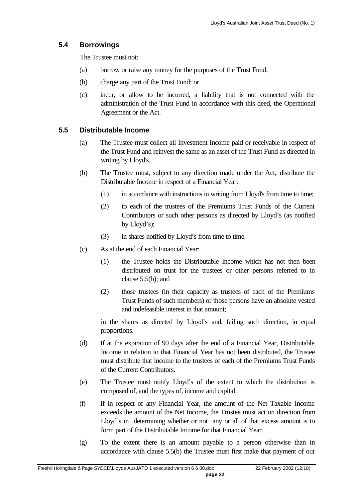### **5.4 Borrowings**

The Trustee must not:

- (a) borrow or raise any money for the purposes of the Trust Fund;
- (b) charge any part of the Trust Fund; or
- (c) incur, or allow to be incurred, a liability that is not connected with the administration of the Trust Fund in accordance with this deed, the Operational Agreement or the Act.

## **5.5 Distributable Income**

- (a) The Trustee must collect all Investment Income paid or receivable in respect of the Trust Fund and reinvest the same as an asset of the Trust Fund as directed in writing by Lloyd's.
- (b) The Trustee must, subject to any direction made under the Act, distribute the Distributable Income in respect of a Financial Year:
	- (1) in accordance with instructions in writing from Lloyd's from time to time;
	- (2) to each of the trustees of the Premiums Trust Funds of the Current Contributors or such other persons as directed by Lloyd's (as notified by Lloyd's);
	- (3) in shares notified by Lloyd's from time to time.
- (c) As at the end of each Financial Year:
	- (1) the Trustee holds the Distributable Income which has not then been distributed on trust for the trustees or other persons referred to in clause 5.5(b); and
	- (2) those trustees (in their capacity as trustees of each of the Premiums Trust Funds of such members) or those persons have an absolute vested and indefeasible interest in that amount;

in the shares as directed by Lloyd's and, failing such direction, in equal proportions.

- (d) If at the expiration of 90 days after the end of a Financial Year, Distributable Income in relation to that Financial Year has not been distributed, the Trustee must distribute that income to the trustees of each of the Premiums Trust Funds of the Current Contributors.
- (e) The Trustee must notify Lloyd's of the extent to which the distribution is composed of, and the types of, income and capital.
- (f) If in respect of any Financial Year, the amount of the Net Taxable Income exceeds the amount of the Net Income, the Trustee must act on direction from Lloyd's in determining whether or not any or all of that excess amount is to form part of the Distributable Income for that Financial Year.
- (g) To the extent there is an amount payable to a person otherwise than in accordance with clause 5.5(b) the Trustee must first make that payment of out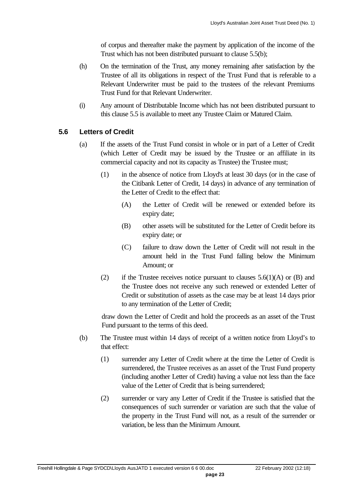of corpus and thereafter make the payment by application of the income of the Trust which has not been distributed pursuant to clause 5.5(b);

- (h) On the termination of the Trust, any money remaining after satisfaction by the Trustee of all its obligations in respect of the Trust Fund that is referable to a Relevant Underwriter must be paid to the trustees of the relevant Premiums Trust Fund for that Relevant Underwriter.
- (i) Any amount of Distributable Income which has not been distributed pursuant to this clause 5.5 is available to meet any Trustee Claim or Matured Claim.

#### **5.6 Letters of Credit**

- (a) If the assets of the Trust Fund consist in whole or in part of a Letter of Credit (which Letter of Credit may be issued by the Trustee or an affiliate in its commercial capacity and not its capacity as Trustee) the Trustee must;
	- (1) in the absence of notice from Lloyd's at least 30 days (or in the case of the Citibank Letter of Credit, 14 days) in advance of any termination of the Letter of Credit to the effect that:
		- (A) the Letter of Credit will be renewed or extended before its expiry date;
		- (B) other assets will be substituted for the Letter of Credit before its expiry date; or
		- (C) failure to draw down the Letter of Credit will not result in the amount held in the Trust Fund falling below the Minimum Amount; or
	- (2) if the Trustee receives notice pursuant to clauses  $5.6(1)(A)$  or (B) and the Trustee does not receive any such renewed or extended Letter of Credit or substitution of assets as the case may be at least 14 days prior to any termination of the Letter of Credit;

draw down the Letter of Credit and hold the proceeds as an asset of the Trust Fund pursuant to the terms of this deed.

- (b) The Trustee must within 14 days of receipt of a written notice from Lloyd's to that effect:
	- (1) surrender any Letter of Credit where at the time the Letter of Credit is surrendered, the Trustee receives as an asset of the Trust Fund property (including another Letter of Credit) having a value not less than the face value of the Letter of Credit that is being surrendered;
	- (2) surrender or vary any Letter of Credit if the Trustee is satisfied that the consequences of such surrender or variation are such that the value of the property in the Trust Fund will not, as a result of the surrender or variation, be less than the Minimum Amount.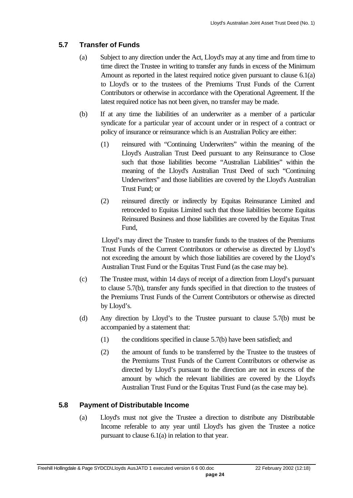## **5.7 Transfer of Funds**

- (a) Subject to any direction under the Act, Lloyd's may at any time and from time to time direct the Trustee in writing to transfer any funds in excess of the Minimum Amount as reported in the latest required notice given pursuant to clause 6.1(a) to Lloyd's or to the trustees of the Premiums Trust Funds of the Current Contributors or otherwise in accordance with the Operational Agreement. If the latest required notice has not been given, no transfer may be made.
- (b) If at any time the liabilities of an underwriter as a member of a particular syndicate for a particular year of account under or in respect of a contract or policy of insurance or reinsurance which is an Australian Policy are either:
	- (1) reinsured with "Continuing Underwriters" within the meaning of the Lloyd's Australian Trust Deed pursuant to any Reinsurance to Close such that those liabilities become "Australian Liabilities" within the meaning of the Lloyd's Australian Trust Deed of such "Continuing Underwriters" and those liabilities are covered by the Lloyd's Australian Trust Fund; or
	- (2) reinsured directly or indirectly by Equitas Reinsurance Limited and retroceded to Equitas Limited such that those liabilities become Equitas Reinsured Business and those liabilities are covered by the Equitas Trust Fund,

Lloyd's may direct the Trustee to transfer funds to the trustees of the Premiums Trust Funds of the Current Contributors or otherwise as directed by Lloyd's not exceeding the amount by which those liabilities are covered by the Lloyd's Australian Trust Fund or the Equitas Trust Fund (as the case may be).

- (c) The Trustee must, within 14 days of receipt of a direction from Lloyd's pursuant to clause 5.7(b), transfer any funds specified in that direction to the trustees of the Premiums Trust Funds of the Current Contributors or otherwise as directed by Lloyd's.
- (d) Any direction by Lloyd's to the Trustee pursuant to clause 5.7(b) must be accompanied by a statement that:
	- (1) the conditions specified in clause 5.7(b) have been satisfied; and
	- (2) the amount of funds to be transferred by the Trustee to the trustees of the Premiums Trust Funds of the Current Contributors or otherwise as directed by Lloyd's pursuant to the direction are not in excess of the amount by which the relevant liabilities are covered by the Lloyd's Australian Trust Fund or the Equitas Trust Fund (as the case may be).

## **5.8 Payment of Distributable Income**

(a) Lloyd's must not give the Trustee a direction to distribute any Distributable Income referable to any year until Lloyd's has given the Trustee a notice pursuant to clause 6.1(a) in relation to that year.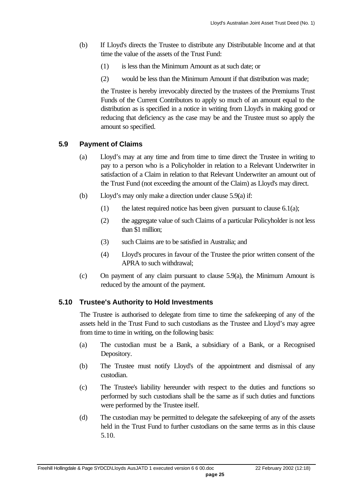- (b) If Lloyd's directs the Trustee to distribute any Distributable Income and at that time the value of the assets of the Trust Fund:
	- (1) is less than the Minimum Amount as at such date; or
	- (2) would be less than the Minimum Amount if that distribution was made;

the Trustee is hereby irrevocably directed by the trustees of the Premiums Trust Funds of the Current Contributors to apply so much of an amount equal to the distribution as is specified in a notice in writing from Lloyd's in making good or reducing that deficiency as the case may be and the Trustee must so apply the amount so specified.

#### **5.9 Payment of Claims**

- (a) Lloyd's may at any time and from time to time direct the Trustee in writing to pay to a person who is a Policyholder in relation to a Relevant Underwriter in satisfaction of a Claim in relation to that Relevant Underwriter an amount out of the Trust Fund (not exceeding the amount of the Claim) as Lloyd's may direct.
- (b) Lloyd's may only make a direction under clause 5.9(a) if:
	- (1) the latest required notice has been given pursuant to clause  $6.1(a)$ ;
	- (2) the aggregate value of such Claims of a particular Policyholder is not less than \$1 million;
	- (3) such Claims are to be satisfied in Australia; and
	- (4) Lloyd's procures in favour of the Trustee the prior written consent of the APRA to such withdrawal;
- (c) On payment of any claim pursuant to clause 5.9(a), the Minimum Amount is reduced by the amount of the payment.

#### **5.10 Trustee's Authority to Hold Investments**

The Trustee is authorised to delegate from time to time the safekeeping of any of the assets held in the Trust Fund to such custodians as the Trustee and Lloyd's may agree from time to time in writing, on the following basis:

- (a) The custodian must be a Bank, a subsidiary of a Bank, or a Recognised Depository.
- (b) The Trustee must notify Lloyd's of the appointment and dismissal of any custodian.
- (c) The Trustee's liability hereunder with respect to the duties and functions so performed by such custodians shall be the same as if such duties and functions were performed by the Trustee itself.
- (d) The custodian may be permitted to delegate the safekeeping of any of the assets held in the Trust Fund to further custodians on the same terms as in this clause 5.10.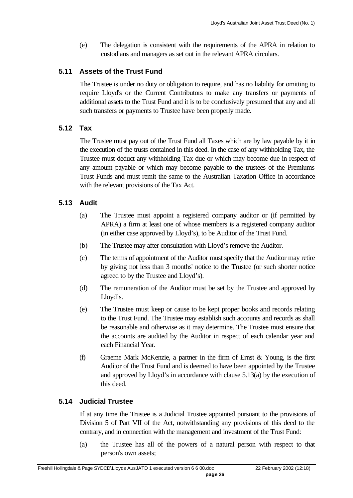(e) The delegation is consistent with the requirements of the APRA in relation to custodians and managers as set out in the relevant APRA circulars.

#### **5.11 Assets of the Trust Fund**

The Trustee is under no duty or obligation to require, and has no liability for omitting to require Lloyd's or the Current Contributors to make any transfers or payments of additional assets to the Trust Fund and it is to be conclusively presumed that any and all such transfers or payments to Trustee have been properly made.

### **5.12 Tax**

The Trustee must pay out of the Trust Fund all Taxes which are by law payable by it in the execution of the trusts contained in this deed. In the case of any withholding Tax, the Trustee must deduct any withholding Tax due or which may become due in respect of any amount payable or which may become payable to the trustees of the Premiums Trust Funds and must remit the same to the Australian Taxation Office in accordance with the relevant provisions of the Tax Act.

## **5.13 Audit**

- (a) The Trustee must appoint a registered company auditor or (if permitted by APRA) a firm at least one of whose members is a registered company auditor (in either case approved by Lloyd's), to be Auditor of the Trust Fund.
- (b) The Trustee may after consultation with Lloyd's remove the Auditor.
- (c) The terms of appointment of the Auditor must specify that the Auditor may retire by giving not less than 3 months' notice to the Trustee (or such shorter notice agreed to by the Trustee and Lloyd's).
- (d) The remuneration of the Auditor must be set by the Trustee and approved by Lloyd's.
- (e) The Trustee must keep or cause to be kept proper books and records relating to the Trust Fund. The Trustee may establish such accounts and records as shall be reasonable and otherwise as it may determine. The Trustee must ensure that the accounts are audited by the Auditor in respect of each calendar year and each Financial Year.
- (f) Graeme Mark McKenzie, a partner in the firm of Ernst & Young, is the first Auditor of the Trust Fund and is deemed to have been appointed by the Trustee and approved by Lloyd's in accordance with clause 5.13(a) by the execution of this deed.

## **5.14 Judicial Trustee**

If at any time the Trustee is a Judicial Trustee appointed pursuant to the provisions of Division 5 of Part VII of the Act, notwithstanding any provisions of this deed to the contrary, and in connection with the management and investment of the Trust Fund:

(a) the Trustee has all of the powers of a natural person with respect to that person's own assets;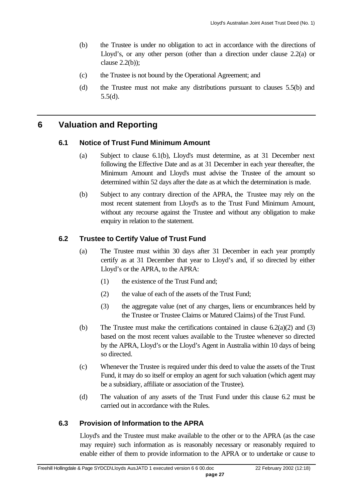- (b) the Trustee is under no obligation to act in accordance with the directions of Lloyd's, or any other person (other than a direction under clause 2.2(a) or clause 2.2(b));
- (c) the Trustee is not bound by the Operational Agreement; and
- (d) the Trustee must not make any distributions pursuant to clauses 5.5(b) and 5.5(d).

## **6 Valuation and Reporting**

#### **6.1 Notice of Trust Fund Minimum Amount**

- (a) Subject to clause 6.1(b), Lloyd's must determine, as at 31 December next following the Effective Date and as at 31 December in each year thereafter, the Minimum Amount and Lloyd's must advise the Trustee of the amount so determined within 52 days after the date as at which the determination is made.
- (b) Subject to any contrary direction of the APRA, the Trustee may rely on the most recent statement from Lloyd's as to the Trust Fund Minimum Amount, without any recourse against the Trustee and without any obligation to make enquiry in relation to the statement.

#### **6.2 Trustee to Certify Value of Trust Fund**

- (a) The Trustee must within 30 days after 31 December in each year promptly certify as at 31 December that year to Lloyd's and, if so directed by either Lloyd's or the APRA, to the APRA:
	- (1) the existence of the Trust Fund and;
	- (2) the value of each of the assets of the Trust Fund;
	- (3) the aggregate value (net of any charges, liens or encumbrances held by the Trustee or Trustee Claims or Matured Claims) of the Trust Fund.
- (b) The Trustee must make the certifications contained in clause 6.2(a)(2) and (3) based on the most recent values available to the Trustee whenever so directed by the APRA, Lloyd's or the Lloyd's Agent in Australia within 10 days of being so directed.
- (c) Whenever the Trustee is required under this deed to value the assets of the Trust Fund, it may do so itself or employ an agent for such valuation (which agent may be a subsidiary, affiliate or association of the Trustee).
- (d) The valuation of any assets of the Trust Fund under this clause 6.2 must be carried out in accordance with the Rules.

#### **6.3 Provision of Information to the APRA**

Lloyd's and the Trustee must make available to the other or to the APRA (as the case may require) such information as is reasonably necessary or reasonably required to enable either of them to provide information to the APRA or to undertake or cause to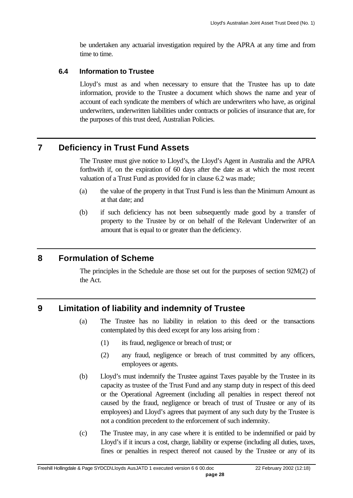be undertaken any actuarial investigation required by the APRA at any time and from time to time.

#### **6.4 Information to Trustee**

Lloyd's must as and when necessary to ensure that the Trustee has up to date information, provide to the Trustee a document which shows the name and year of account of each syndicate the members of which are underwriters who have, as original underwriters, underwritten liabilities under contracts or policies of insurance that are, for the purposes of this trust deed, Australian Policies.

## **7 Deficiency in Trust Fund Assets**

The Trustee must give notice to Lloyd's, the Lloyd's Agent in Australia and the APRA forthwith if, on the expiration of 60 days after the date as at which the most recent valuation of a Trust Fund as provided for in clause 6.2 was made;

- (a) the value of the property in that Trust Fund is less than the Minimum Amount as at that date; and
- (b) if such deficiency has not been subsequently made good by a transfer of property to the Trustee by or on behalf of the Relevant Underwriter of an amount that is equal to or greater than the deficiency.

## **8 Formulation of Scheme**

The principles in the Schedule are those set out for the purposes of section 92M(2) of the Act.

## **9 Limitation of liability and indemnity of Trustee**

- (a) The Trustee has no liability in relation to this deed or the transactions contemplated by this deed except for any loss arising from :
	- (1) its fraud, negligence or breach of trust; or
	- (2) any fraud, negligence or breach of trust committed by any officers, employees or agents.
- (b) Lloyd's must indemnify the Trustee against Taxes payable by the Trustee in its capacity as trustee of the Trust Fund and any stamp duty in respect of this deed or the Operational Agreement (including all penalties in respect thereof not caused by the fraud, negligence or breach of trust of Trustee or any of its employees) and Lloyd's agrees that payment of any such duty by the Trustee is not a condition precedent to the enforcement of such indemnity.
- (c) The Trustee may, in any case where it is entitled to be indemnified or paid by Lloyd's if it incurs a cost, charge, liability or expense (including all duties, taxes, fines or penalties in respect thereof not caused by the Trustee or any of its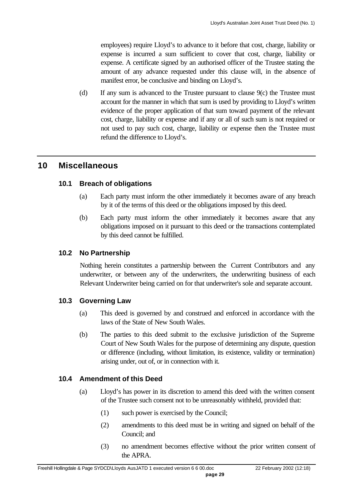employees) require Lloyd's to advance to it before that cost, charge, liability or expense is incurred a sum sufficient to cover that cost, charge, liability or expense. A certificate signed by an authorised officer of the Trustee stating the amount of any advance requested under this clause will, in the absence of manifest error, be conclusive and binding on Lloyd's.

(d) If any sum is advanced to the Trustee pursuant to clause 9(c) the Trustee must account for the manner in which that sum is used by providing to Lloyd's written evidence of the proper application of that sum toward payment of the relevant cost, charge, liability or expense and if any or all of such sum is not required or not used to pay such cost, charge, liability or expense then the Trustee must refund the difference to Lloyd's.

## **10 Miscellaneous**

#### **10.1 Breach of obligations**

- (a) Each party must inform the other immediately it becomes aware of any breach by it of the terms of this deed or the obligations imposed by this deed.
- (b) Each party must inform the other immediately it becomes aware that any obligations imposed on it pursuant to this deed or the transactions contemplated by this deed cannot be fulfilled.

#### **10.2 No Partnership**

Nothing herein constitutes a partnership between the Current Contributors and any underwriter, or between any of the underwriters, the underwriting business of each Relevant Underwriter being carried on for that underwriter's sole and separate account.

#### **10.3 Governing Law**

- (a) This deed is governed by and construed and enforced in accordance with the laws of the State of New South Wales.
- (b) The parties to this deed submit to the exclusive jurisdiction of the Supreme Court of New South Wales for the purpose of determining any dispute, question or difference (including, without limitation, its existence, validity or termination) arising under, out of, or in connection with it.

#### **10.4 Amendment of this Deed**

- (a) Lloyd's has power in its discretion to amend this deed with the written consent of the Trustee such consent not to be unreasonably withheld, provided that:
	- (1) such power is exercised by the Council;
	- (2) amendments to this deed must be in writing and signed on behalf of the Council; and
	- (3) no amendment becomes effective without the prior written consent of the APRA.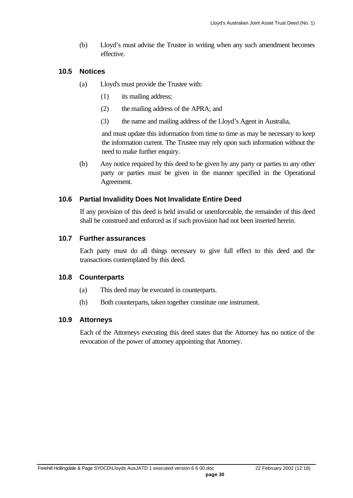(b) Lloyd's must advise the Trustee in writing when any such amendment becomes effective.

#### **10.5 Notices**

- (a) Lloyd's must provide the Trustee with:
	- (1) its mailing address;
	- (2) the mailing address of the APRA; and
	- (3) the name and mailing address of the Lloyd's Agent in Australia,

and must update this information from time to time as may be necessary to keep the information current. The Trustee may rely upon such information without the need to make further enquiry.

(b) Any notice required by this deed to be given by any party or parties to any other party or parties must be given in the manner specified in the Operational Agreement.

### **10.6 Partial Invalidity Does Not Invalidate Entire Deed**

If any provision of this deed is held invalid or unenforceable, the remainder of this deed shall be construed and enforced as if such provision had not been inserted herein.

#### **10.7 Further assurances**

Each party must do all things necessary to give full effect to this deed and the transactions contemplated by this deed.

#### **10.8 Counterparts**

- (a) This deed may be executed in counterparts.
- (b) Both counterparts, taken together constitute one instrument.

## **10.9 Attorneys**

Each of the Attorneys executing this deed states that the Attorney has no notice of the revocation of the power of attorney appointing that Attorney.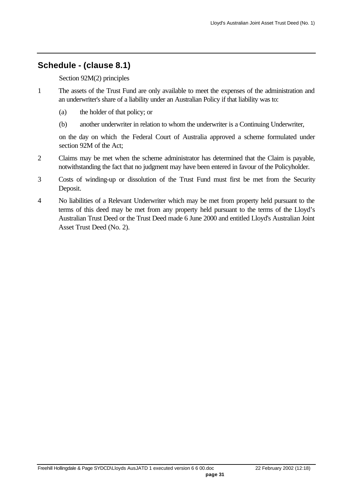## **Schedule - (clause 8.1)**

Section 92M(2) principles

- 1 The assets of the Trust Fund are only available to meet the expenses of the administration and an underwriter's share of a liability under an Australian Policy if that liability was to:
	- (a) the holder of that policy; or
	- (b) another underwriter in relation to whom the underwriter is a Continuing Underwriter,

on the day on which the Federal Court of Australia approved a scheme formulated under section 92M of the Act;

- 2 Claims may be met when the scheme administrator has determined that the Claim is payable, notwithstanding the fact that no judgment may have been entered in favour of the Policyholder.
- 3 Costs of winding-up or dissolution of the Trust Fund must first be met from the Security Deposit.
- 4 No liabilities of a Relevant Underwriter which may be met from property held pursuant to the terms of this deed may be met from any property held pursuant to the terms of the Lloyd's Australian Trust Deed or the Trust Deed made 6 June 2000 and entitled Lloyd's Australian Joint Asset Trust Deed (No. 2).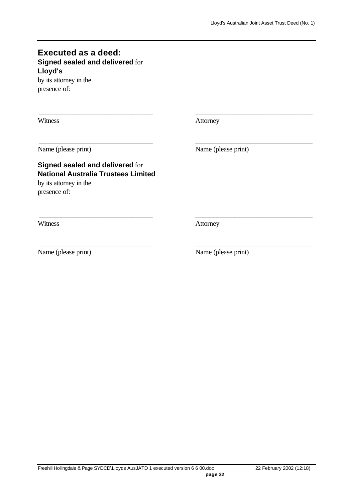## **Executed as a deed: Signed sealed and delivered** for **Lloyd's**

by its attorney in the presence of:

Witness **Attorney** 

\_\_\_\_\_\_\_\_\_\_\_\_\_\_\_\_\_\_\_\_\_\_\_\_\_\_\_\_\_\_\_\_ \_\_\_\_\_\_\_\_\_\_\_\_\_\_\_\_\_\_\_\_\_\_\_\_\_\_\_\_\_\_\_\_\_

\_\_\_\_\_\_\_\_\_\_\_\_\_\_\_\_\_\_\_\_\_\_\_\_\_\_\_\_\_\_\_\_ \_\_\_\_\_\_\_\_\_\_\_\_\_\_\_\_\_\_\_\_\_\_\_\_\_\_\_\_\_\_\_\_\_

\_\_\_\_\_\_\_\_\_\_\_\_\_\_\_\_\_\_\_\_\_\_\_\_\_\_\_\_\_\_\_\_ \_\_\_\_\_\_\_\_\_\_\_\_\_\_\_\_\_\_\_\_\_\_\_\_\_\_\_\_\_\_\_\_\_

\_\_\_\_\_\_\_\_\_\_\_\_\_\_\_\_\_\_\_\_\_\_\_\_\_\_\_\_\_\_\_\_ \_\_\_\_\_\_\_\_\_\_\_\_\_\_\_\_\_\_\_\_\_\_\_\_\_\_\_\_\_\_\_\_\_

## **Signed sealed and delivered** for **National Australia Trustees Limited** by its attorney in the

presence of:

Name (please print) Name (please print)

Witness **Attorney** 

Name (please print) Name (please print)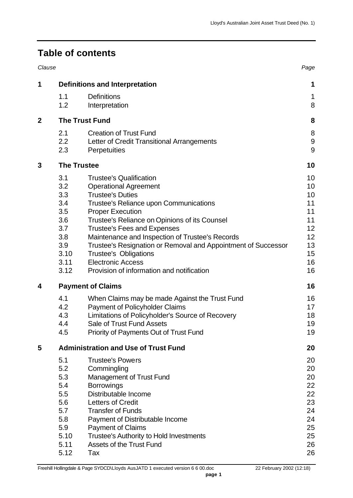# **Table of contents**

| Clause           |                                                                                     |                                                                                                                                                                                                                                                                                                                                                                                                                                                                                    | Page                                                                 |  |  |  |
|------------------|-------------------------------------------------------------------------------------|------------------------------------------------------------------------------------------------------------------------------------------------------------------------------------------------------------------------------------------------------------------------------------------------------------------------------------------------------------------------------------------------------------------------------------------------------------------------------------|----------------------------------------------------------------------|--|--|--|
| 1                | <b>Definitions and Interpretation</b>                                               |                                                                                                                                                                                                                                                                                                                                                                                                                                                                                    |                                                                      |  |  |  |
|                  | 1.1<br>1.2                                                                          | <b>Definitions</b><br>Interpretation                                                                                                                                                                                                                                                                                                                                                                                                                                               | 1<br>8                                                               |  |  |  |
| $\boldsymbol{2}$ |                                                                                     | <b>The Trust Fund</b>                                                                                                                                                                                                                                                                                                                                                                                                                                                              |                                                                      |  |  |  |
|                  | 2.1<br>2.2<br>2.3                                                                   | <b>Creation of Trust Fund</b><br>Letter of Credit Transitional Arrangements<br>Perpetuities                                                                                                                                                                                                                                                                                                                                                                                        | 8<br>9<br>9                                                          |  |  |  |
| 3                | <b>The Trustee</b>                                                                  |                                                                                                                                                                                                                                                                                                                                                                                                                                                                                    |                                                                      |  |  |  |
|                  | 3.1<br>3.2<br>3.3<br>3.4<br>3.5<br>3.6<br>3.7<br>3.8<br>3.9<br>3.10<br>3.11<br>3.12 | <b>Trustee's Qualification</b><br><b>Operational Agreement</b><br><b>Trustee's Duties</b><br>Trustee's Reliance upon Communications<br><b>Proper Execution</b><br>Trustee's Reliance on Opinions of its Counsel<br><b>Trustee's Fees and Expenses</b><br>Maintenance and Inspection of Trustee's Records<br>Trustee's Resignation or Removal and Appointment of Successor<br><b>Trustee's Obligations</b><br><b>Electronic Access</b><br>Provision of information and notification | 10<br>10<br>10<br>11<br>11<br>11<br>12<br>12<br>13<br>15<br>16<br>16 |  |  |  |
| 4                |                                                                                     | <b>Payment of Claims</b>                                                                                                                                                                                                                                                                                                                                                                                                                                                           |                                                                      |  |  |  |
|                  | 4.1<br>4.2<br>4.3<br>4.4<br>4.5                                                     | When Claims may be made Against the Trust Fund<br><b>Payment of Policyholder Claims</b><br>Limitations of Policyholder's Source of Recovery<br>Sale of Trust Fund Assets<br>Priority of Payments Out of Trust Fund                                                                                                                                                                                                                                                                 | 16<br>17<br>18<br>19<br>19                                           |  |  |  |
| 5                | <b>Administration and Use of Trust Fund</b>                                         |                                                                                                                                                                                                                                                                                                                                                                                                                                                                                    |                                                                      |  |  |  |
|                  | 5.1<br>5.2<br>5.3<br>5.4<br>5.5<br>5.6<br>5.7<br>5.8<br>5.9<br>5.10<br>5.11<br>5.12 | <b>Trustee's Powers</b><br>Commingling<br><b>Management of Trust Fund</b><br><b>Borrowings</b><br>Distributable Income<br><b>Letters of Credit</b><br><b>Transfer of Funds</b><br>Payment of Distributable Income<br><b>Payment of Claims</b><br><b>Trustee's Authority to Hold Investments</b><br><b>Assets of the Trust Fund</b><br>Tax                                                                                                                                          | 20<br>20<br>20<br>22<br>22<br>23<br>24<br>24<br>25<br>25<br>26<br>26 |  |  |  |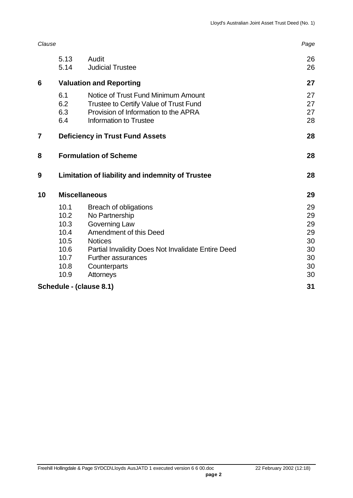|    | 5.13<br>5.14                                                                     | Audit<br><b>Judicial Trustee</b>                                              | 26<br>26 |  |  |  |
|----|----------------------------------------------------------------------------------|-------------------------------------------------------------------------------|----------|--|--|--|
| 6  | <b>Valuation and Reporting</b>                                                   |                                                                               |          |  |  |  |
|    | 6.1<br>6.2                                                                       | Notice of Trust Fund Minimum Amount<br>Trustee to Certify Value of Trust Fund | 27<br>27 |  |  |  |
|    | 6.3<br>6.4                                                                       | Provision of Information to the APRA<br>Information to Trustee                | 27<br>28 |  |  |  |
| 7  | <b>Deficiency in Trust Fund Assets</b>                                           |                                                                               |          |  |  |  |
| 8  | <b>Formulation of Scheme</b><br>Limitation of liability and indemnity of Trustee |                                                                               |          |  |  |  |
| 9  |                                                                                  |                                                                               |          |  |  |  |
| 10 | <b>Miscellaneous</b>                                                             | 29                                                                            |          |  |  |  |
|    | 10.1                                                                             | Breach of obligations                                                         | 29       |  |  |  |
|    | 10.2                                                                             | No Partnership                                                                | 29       |  |  |  |
|    | 10.3                                                                             | Governing Law                                                                 | 29       |  |  |  |
|    | 10.4                                                                             | Amendment of this Deed                                                        | 29       |  |  |  |
|    | 10.5                                                                             | <b>Notices</b>                                                                | 30       |  |  |  |
|    | 10.6                                                                             | Partial Invalidity Does Not Invalidate Entire Deed                            | 30       |  |  |  |
|    | 10.7                                                                             | <b>Further assurances</b>                                                     | 30       |  |  |  |
|    | 10.8                                                                             | Counterparts                                                                  | 30       |  |  |  |
|    | 10.9                                                                             | Attorneys                                                                     | 30       |  |  |  |
|    |                                                                                  | Schedule - (clause 8.1)                                                       | 31       |  |  |  |

*Clause Page*